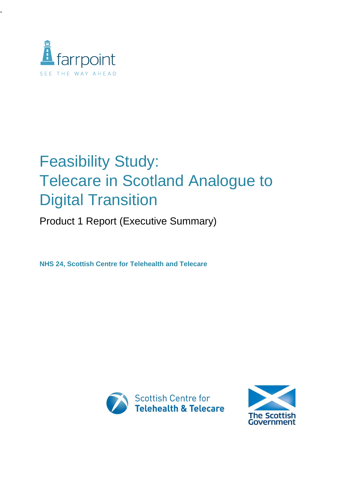

-

## Feasibility Study: Telecare in Scotland Analogue to Digital Transition

Product 1 Report (Executive Summary)

**NHS 24, Scottish Centre for Telehealth and Telecare**



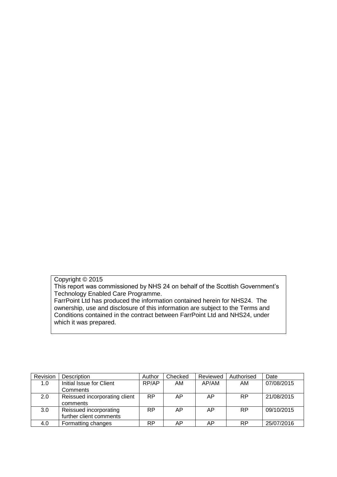## Copyright © 2015

This report was commissioned by NHS 24 on behalf of the Scottish Government's Technology Enabled Care Programme.

FarrPoint Ltd has produced the information contained herein for NHS24. The ownership, use and disclosure of this information are subject to the Terms and Conditions contained in the contract between FarrPoint Ltd and NHS24, under which it was prepared.

| Revision | <b>Description</b>            | Author    | Checked | Reviewed | Authorised | Date       |
|----------|-------------------------------|-----------|---------|----------|------------|------------|
| 1.0      | Initial Issue for Client      | RP/AP     | AM      | AP/AM    | AM         | 07/08/2015 |
|          | Comments                      |           |         |          |            |            |
| 2.0      | Reissued incorporating client | <b>RP</b> | AP      | AP.      | <b>RP</b>  | 21/08/2015 |
|          | comments                      |           |         |          |            |            |
| 3.0      | Reissued incorporating        | <b>RP</b> | AP      | AP.      | <b>RP</b>  | 09/10/2015 |
|          | further client comments       |           |         |          |            |            |
| 4.0      | Formatting changes            | <b>RP</b> | ΑP      | AΡ       | RP         | 25/07/2016 |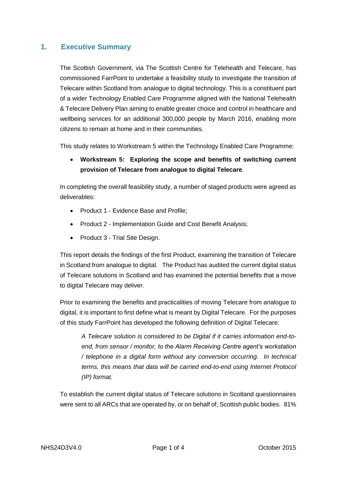## **1. Executive Summary**

The Scottish Government, via The Scottish Centre for Telehealth and Telecare, has commissioned FarrPoint to undertake a feasibility study to investigate the transition of Telecare within Scotland from analogue to digital technology. This is a constituent part of a wider Technology Enabled Care Programme aligned with the National Telehealth & Telecare Delivery Plan aiming to enable greater choice and control in healthcare and wellbeing services for an additional 300,000 people by March 2016, enabling more citizens to remain at home and in their communities.

This study relates to Workstream 5 within the Technology Enabled Care Programme:

 **Workstream 5: Exploring the scope and benefits of switching current provision of Telecare from analogue to digital Telecare**.

In completing the overall feasibility study, a number of staged products were agreed as deliverables:

- Product 1 Evidence Base and Profile;
- Product 2 Implementation Guide and Cost Benefit Analysis;
- Product 3 Trial Site Design.

This report details the findings of the first Product, examining the transition of Telecare in Scotland from analogue to digital. The Product has audited the current digital status of Telecare solutions in Scotland and has examined the potential benefits that a move to digital Telecare may deliver.

Prior to examining the benefits and practicalities of moving Telecare from analogue to digital, it is important to first define what is meant by Digital Telecare. For the purposes of this study FarrPoint has developed the following definition of Digital Telecare:

*A Telecare solution is considered to be Digital if it carries information end-toend, from sensor / monitor, to the Alarm Receiving Centre agent's workstation / telephone in a digital form without any conversion occurring. In technical terms, this means that data will be carried end-to-end using Internet Protocol (IP) format.*

To establish the current digital status of Telecare solutions in Scotland questionnaires were sent to all ARCs that are operated by, or on behalf of, Scottish public bodies. 81%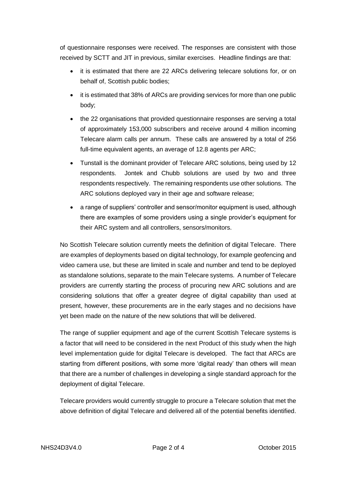of questionnaire responses were received. The responses are consistent with those received by SCTT and JIT in previous, similar exercises. Headline findings are that:

- it is estimated that there are 22 ARCs delivering telecare solutions for, or on behalf of, Scottish public bodies;
- it is estimated that 38% of ARCs are providing services for more than one public body;
- the 22 organisations that provided questionnaire responses are serving a total of approximately 153,000 subscribers and receive around 4 million incoming Telecare alarm calls per annum. These calls are answered by a total of 256 full-time equivalent agents, an average of 12.8 agents per ARC;
- Tunstall is the dominant provider of Telecare ARC solutions, being used by 12 respondents. Jontek and Chubb solutions are used by two and three respondents respectively. The remaining respondents use other solutions. The ARC solutions deployed vary in their age and software release;
- a range of suppliers' controller and sensor/monitor equipment is used, although there are examples of some providers using a single provider's equipment for their ARC system and all controllers, sensors/monitors.

No Scottish Telecare solution currently meets the definition of digital Telecare. There are examples of deployments based on digital technology, for example geofencing and video camera use, but these are limited in scale and number and tend to be deployed as standalone solutions, separate to the main Telecare systems. A number of Telecare providers are currently starting the process of procuring new ARC solutions and are considering solutions that offer a greater degree of digital capability than used at present, however, these procurements are in the early stages and no decisions have yet been made on the nature of the new solutions that will be delivered.

The range of supplier equipment and age of the current Scottish Telecare systems is a factor that will need to be considered in the next Product of this study when the high level implementation guide for digital Telecare is developed. The fact that ARCs are starting from different positions, with some more 'digital ready' than others will mean that there are a number of challenges in developing a single standard approach for the deployment of digital Telecare.

Telecare providers would currently struggle to procure a Telecare solution that met the above definition of digital Telecare and delivered all of the potential benefits identified.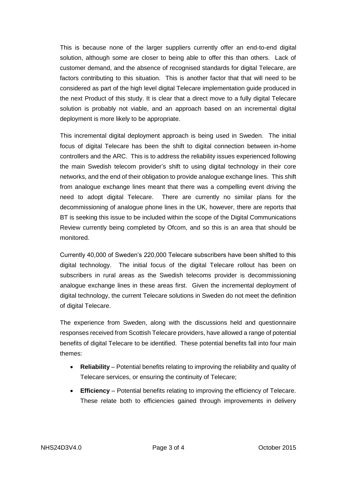This is because none of the larger suppliers currently offer an end-to-end digital solution, although some are closer to being able to offer this than others. Lack of customer demand, and the absence of recognised standards for digital Telecare, are factors contributing to this situation. This is another factor that that will need to be considered as part of the high level digital Telecare implementation guide produced in the next Product of this study. It is clear that a direct move to a fully digital Telecare solution is probably not viable, and an approach based on an incremental digital deployment is more likely to be appropriate.

This incremental digital deployment approach is being used in Sweden. The initial focus of digital Telecare has been the shift to digital connection between in-home controllers and the ARC. This is to address the reliability issues experienced following the main Swedish telecom provider's shift to using digital technology in their core networks, and the end of their obligation to provide analogue exchange lines. This shift from analogue exchange lines meant that there was a compelling event driving the need to adopt digital Telecare. There are currently no similar plans for the decommissioning of analogue phone lines in the UK, however, there are reports that BT is seeking this issue to be included within the scope of the Digital Communications Review currently being completed by Ofcom, and so this is an area that should be monitored.

Currently 40,000 of Sweden's 220,000 Telecare subscribers have been shifted to this digital technology. The initial focus of the digital Telecare rollout has been on subscribers in rural areas as the Swedish telecoms provider is decommissioning analogue exchange lines in these areas first. Given the incremental deployment of digital technology, the current Telecare solutions in Sweden do not meet the definition of digital Telecare.

The experience from Sweden, along with the discussions held and questionnaire responses received from Scottish Telecare providers, have allowed a range of potential benefits of digital Telecare to be identified. These potential benefits fall into four main themes:

- **Reliability** Potential benefits relating to improving the reliability and quality of Telecare services, or ensuring the continuity of Telecare;
- **Efficiency** Potential benefits relating to improving the efficiency of Telecare. These relate both to efficiencies gained through improvements in delivery